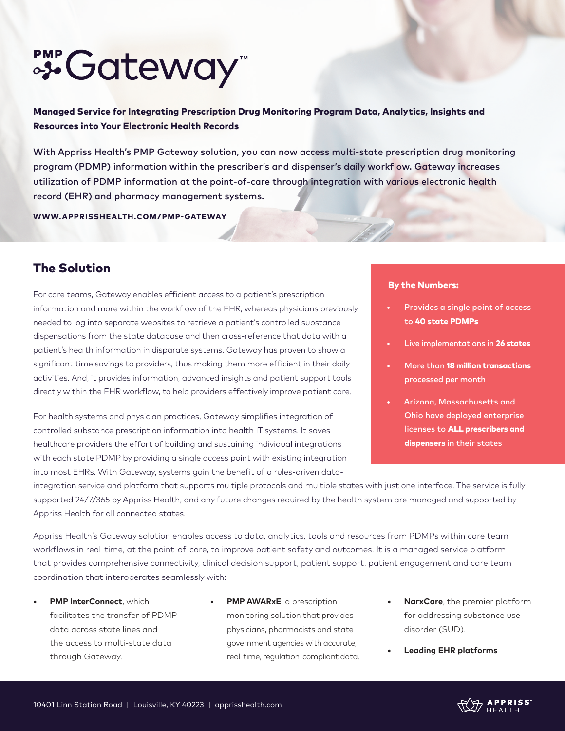# SS Gateway

Managed Service for Integrating Prescription Drug Monitoring Program Data, Analytics, Insights and Resources into Your Electronic Health Records

With Appriss Health's PMP Gateway solution, you can now access multi-state prescription drug monitoring program (PDMP) information within the prescriber's and dispenser's daily workflow. Gateway increases utilization of PDMP information at the point-of-care through integration with various electronic health record (EHR) and pharmacy management systems.

WWW.APPRISSHEALTH.COM/PMP-GATEWAY

## The Solution

For care teams, Gateway enables efficient access to a patient's prescription information and more within the workflow of the EHR, whereas physicians previously needed to log into separate websites to retrieve a patient's controlled substance dispensations from the state database and then cross-reference that data with a patient's health information in disparate systems. Gateway has proven to show a significant time savings to providers, thus making them more efficient in their daily activities. And, it provides information, advanced insights and patient support tools directly within the EHR workflow, to help providers effectively improve patient care.

For health systems and physician practices, Gateway simplifies integration of controlled substance prescription information into health IT systems. It saves healthcare providers the effort of building and sustaining individual integrations with each state PDMP by providing a single access point with existing integration into most EHRs. With Gateway, systems gain the benefit of a rules-driven data-

#### By the Numbers:

- Provides a single point of access to 40 state PDMPs
- Live implementations in 26 states
- More than 18 million transactions processed per month
- Arizona, Massachusetts and Ohio have deployed enterprise licenses to ALL prescribers and dispensers in their states

integration service and platform that supports multiple protocols and multiple states with just one interface. The service is fully supported 24/7/365 by Appriss Health, and any future changes required by the health system are managed and supported by Appriss Health for all connected states.

Appriss Health's Gateway solution enables access to data, analytics, tools and resources from PDMPs within care team workflows in real-time, at the point-of-care, to improve patient safety and outcomes. It is a managed service platform that provides comprehensive connectivity, clinical decision support, patient support, patient engagement and care team coordination that interoperates seamlessly with:

- **• PMP InterConnect**, which facilitates the transfer of PDMP data across state lines and the access to multi-state data through Gateway.
- **• PMP AWARxE**, a prescription monitoring solution that provides physicians, pharmacists and state government agencies with accurate, real-time, regulation-compliant data.
- **• NarxCare**, the premier platform for addressing substance use disorder (SUD).
- **• Leading EHR platforms**